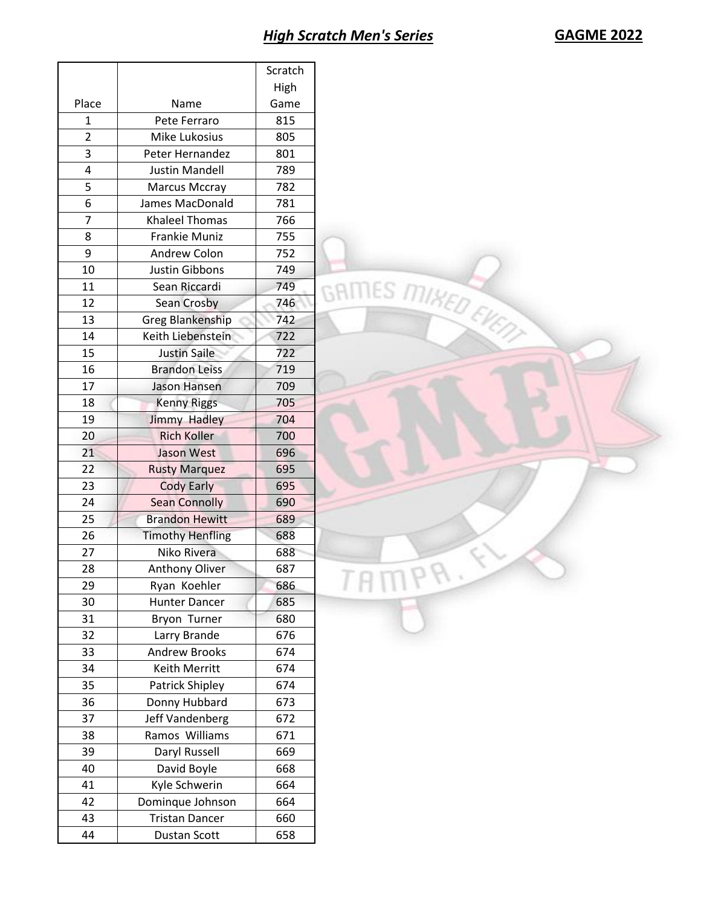|                |                                   | Scratch    |                    |
|----------------|-----------------------------------|------------|--------------------|
|                |                                   | High       |                    |
| Place          | Name                              | Game       |                    |
| $\mathbf{1}$   | Pete Ferraro                      | 815        |                    |
| $\overline{2}$ | Mike Lukosius                     | 805        |                    |
| 3              | Peter Hernandez                   | 801        |                    |
| $\pmb{4}$      | <b>Justin Mandell</b>             | 789        |                    |
| 5              | <b>Marcus Mccray</b>              | 782        |                    |
| 6              | James MacDonald                   | 781        |                    |
| $\overline{7}$ | <b>Khaleel Thomas</b>             | 766        |                    |
| 8              | Frankie Muniz                     | 755        |                    |
| 9              | Andrew Colon                      | 752        |                    |
| 10             | Justin Gibbons                    | 749        |                    |
| 11             | Sean Riccardi                     | 749        |                    |
| 12             | Sean Crosby                       | 746        |                    |
| 13             | <b>Greg Blankenship</b>           | 742        | GRIMES MIKED EVENT |
| 14             | Keith Liebenstein                 | 722        |                    |
| 15             | Justin Saile                      | 722        |                    |
| 16             | <b>Brandon Leiss</b>              | 719        |                    |
| 17             | Jason Hansen                      | 709        |                    |
| 18             | <b>Kenny Riggs</b>                | 705        |                    |
| 19             | <b>Jimmy Hadley</b>               | 704        |                    |
| 20             | <b>Rich Koller</b>                | 700        |                    |
| 21             | Jason West                        | 696        |                    |
| 22             | <b>Rusty Marquez</b>              | 695        |                    |
| 23             | <b>Cody Early</b>                 | 695        |                    |
| 24             | <b>Sean Connolly</b>              | 690        |                    |
| 25             | <b>Brandon Hewitt</b>             | 689        |                    |
| 26             | <b>Timothy Henfling</b>           | 688        |                    |
| 27             | Niko Rivera                       | 688        |                    |
| 28             | Anthony Oliver                    | 687        | v                  |
| 29             | Ryan Koehler                      | 686        |                    |
| 30             | <b>Hunter Dancer</b>              | 685        |                    |
| 31             | Bryon Turner                      | 680        |                    |
| 32             | Larry Brande                      | 676        |                    |
| 33             | Andrew Brooks                     | 674        |                    |
| 34<br>35       | Keith Merritt<br>Patrick Shipley  | 674<br>674 |                    |
|                |                                   |            |                    |
| 36<br>37       | Donny Hubbard                     | 673<br>672 |                    |
| 38             | Jeff Vandenberg<br>Ramos Williams | 671        |                    |
| 39             | Daryl Russell                     | 669        |                    |
| 40             | David Boyle                       | 668        |                    |
| 41             | Kyle Schwerin                     | 664        |                    |
| 42             | Dominque Johnson                  | 664        |                    |
| 43             | <b>Tristan Dancer</b>             | 660        |                    |
|                |                                   |            |                    |
| 44             | Dustan Scott                      | 658        |                    |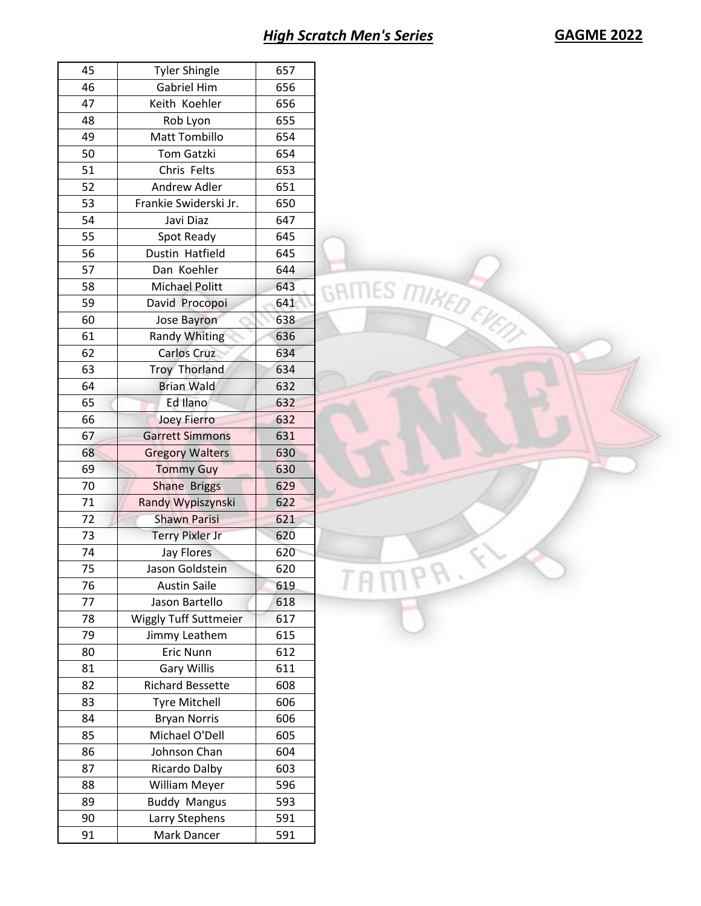| 45 | <b>Tyler Shingle</b>         | 657 |
|----|------------------------------|-----|
| 46 | Gabriel Him                  | 656 |
| 47 | Keith Koehler                | 656 |
| 48 | Rob Lyon                     | 655 |
| 49 | Matt Tombillo                | 654 |
| 50 | Tom Gatzki                   | 654 |
| 51 | Chris Felts                  | 653 |
| 52 | Andrew Adler                 | 651 |
| 53 | Frankie Swiderski Jr.        | 650 |
| 54 | Javi Diaz                    | 647 |
| 55 | Spot Ready                   | 645 |
| 56 | Dustin Hatfield              | 645 |
| 57 | Dan Koehler                  | 644 |
| 58 | <b>Michael Politt</b>        | 643 |
| 59 | David Procopoi               | 641 |
| 60 | Jose Bayron                  | 638 |
| 61 |                              |     |
|    | <b>Randy Whiting</b>         | 636 |
| 62 | <b>Carlos Cruz</b>           | 634 |
| 63 | Troy Thorland                | 634 |
| 64 | <b>Brian Wald</b>            | 632 |
| 65 | Ed Ilano                     | 632 |
| 66 | <b>Joey Fierro</b>           | 632 |
| 67 | <b>Garrett Simmons</b>       | 631 |
| 68 | <b>Gregory Walters</b>       | 630 |
| 69 | <b>Tommy Guy</b>             | 630 |
| 70 | Shane Briggs                 | 629 |
| 71 | Randy Wypiszynski            | 622 |
| 72 | <b>Shawn Parisi</b>          | 621 |
| 73 | <b>Terry Pixler Jr</b>       | 620 |
| 74 | <b>Jay Flores</b>            | 620 |
| 75 | Jason Goldstein              | 620 |
| 76 | Austin Saile                 | 619 |
| 77 | Jason Bartello               | 618 |
| 78 | <b>Wiggly Tuff Suttmeier</b> | 617 |
| 79 | Jimmy Leathem                | 615 |
| 80 | Eric Nunn                    | 612 |
| 81 | <b>Gary Willis</b>           | 611 |
| 82 | <b>Richard Bessette</b>      | 608 |
| 83 | <b>Tyre Mitchell</b>         | 606 |
|    |                              |     |
| 84 | <b>Bryan Norris</b>          | 606 |
| 85 | Michael O'Dell               | 605 |
| 86 | Johnson Chan                 | 604 |
| 87 | Ricardo Dalby                | 603 |
| 88 | William Meyer                | 596 |
| 89 | <b>Buddy Mangus</b>          | 593 |
| 90 | Larry Stephens               | 591 |
| 91 | Mark Dancer                  | 591 |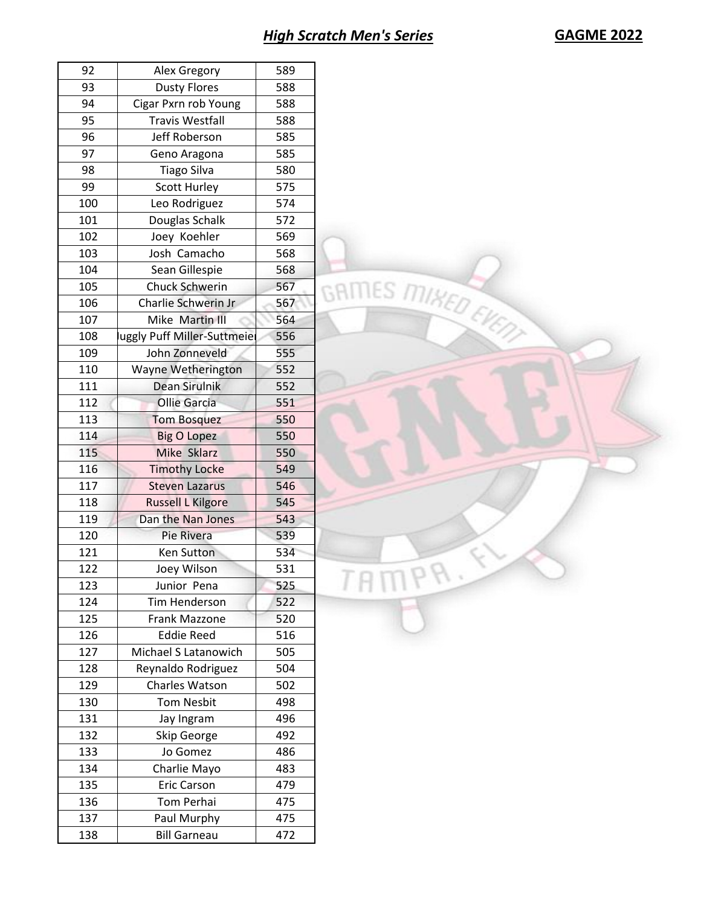| 92  | Alex Gregory               | 589 |
|-----|----------------------------|-----|
| 93  | <b>Dusty Flores</b>        | 588 |
| 94  | Cigar Pxrn rob Young       | 588 |
| 95  | <b>Travis Westfall</b>     | 588 |
| 96  | Jeff Roberson              | 585 |
| 97  | Geno Aragona               | 585 |
|     |                            |     |
| 98  | <b>Tiago Silva</b>         | 580 |
| 99  | Scott Hurley               | 575 |
| 100 | Leo Rodriguez              | 574 |
| 101 | Douglas Schalk             | 572 |
| 102 | Joey Koehler               | 569 |
| 103 | Josh Camacho               | 568 |
| 104 | Sean Gillespie             | 568 |
| 105 | Chuck Schwerin             | 567 |
| 106 | Charlie Schwerin Jr        | 567 |
| 107 | Mike Martin III            | 564 |
| 108 | uggly Puff Miller-Suttmeie | 556 |
| 109 | John Zonneveld             | 555 |
| 110 | Wayne Wetherington         | 552 |
| 111 | Dean Sirulnik              | 552 |
|     |                            |     |
| 112 | <b>Ollie Garcia</b>        | 551 |
| 113 | <b>Tom Bosquez</b>         | 550 |
| 114 | <b>Big O Lopez</b>         | 550 |
| 115 | Mike Sklarz                | 550 |
| 116 | <b>Timothy Locke</b>       | 549 |
| 117 | <b>Steven Lazarus</b>      | 546 |
| 118 | <b>Russell L Kilgore</b>   | 545 |
| 119 | Dan the Nan Jones          | 543 |
| 120 | Pie Rivera                 | 539 |
| 121 | Ken Sutton                 | 534 |
| 122 | Joey Wilson                | 531 |
| 123 | Junior Pena                | 525 |
| 124 | Tim Henderson              | 522 |
| 125 | Frank Mazzone              |     |
|     |                            | 520 |
| 126 | <b>Eddie Reed</b>          | 516 |
| 127 | Michael S Latanowich       | 505 |
| 128 | Reynaldo Rodriguez         | 504 |
| 129 | Charles Watson             | 502 |
| 130 | <b>Tom Nesbit</b>          | 498 |
| 131 | Jay Ingram                 | 496 |
| 132 | Skip George                | 492 |
| 133 | Jo Gomez                   | 486 |
| 134 | Charlie Mayo               | 483 |
| 135 | <b>Eric Carson</b>         | 479 |
| 136 | Tom Perhai                 | 475 |
| 137 | Paul Murphy                | 475 |
|     |                            |     |
| 138 | <b>Bill Garneau</b>        | 472 |